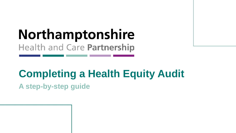# **Northamptonshire Health and Care Partnership**

# **Completing a Health Equity Audit**

**A step-by-step guide**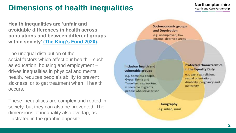## <span id="page-1-0"></span>**Dimensions of health inequalities**

**Health inequalities are 'unfair and avoidable differences in health across populations and between different groups within society' [\(The King's Fund 2020\)](https://www.kingsfund.org.uk/publications/what-are-health-inequalities) .**

The unequal distribution of the social factors which affect our health – such as education, housing and employment – drives inequalities in physical and mental health, reduces people's ability to prevent sickness, or to get treatment when ill health occurs.

These inequalities are complex and rooted in society, but they can also be prevented. The dimensions of inequality also overlap, as illustrated in the graphic opposite.

Socioeconomic groups and Deprivation e.g. unemployed, low income, deprived areas

#### **Inclusion health and** vulnerable groups

e.g. homeless people, Gypsy, Roma and Travellers, sex workers, vulnerable migrants, people who leave prison

#### **Protected characteristics** in the Equality Duty

e.g. age, sex, religion, sexual orientation, disability, pregnancy and maternity

Geography e.g. urban, rural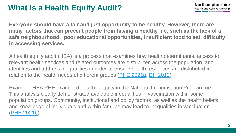## **What is a Health Equity Audit?**

**Everyone should have a fair and just opportunity to be healthy. However, there are many factors that can prevent people from having a healthy life, such as the lack of a safe neighbourhood, poor educational opportunities, insufficient food to eat, difficulty in accessing services.** 

A health equity audit (HEA) is a process that examines how health determinants, access to relevant health services and related outcomes are distributed across the population, and identifies and address inequalities in order to ensure health resources are distributed in relation to the health needs of different groups ([PHE 2021a,](#page-11-0) [DH 2013\)](https://webarchive.nationalarchives.gov.uk/ukgwa/20130107105354/http:/www.dh.gov.uk/prod_consum_dh/groups/dh_digitalassets/@dh/@en/documents/digitalasset/dh_4084139.pdf).

Example: HEA PHE examined health inequity in the National Immunisation Programme. This analysis clearly demonstrated avoidable inequalities in vaccination within some population groups. Community, institutional and policy factors, as well as the health beliefs and knowledge of individuals and within families may lead to inequalities in vaccination [\(PHE 2021b\)](#page-11-0).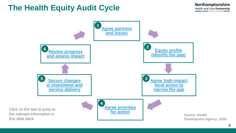### **The Health Equity Audit Cycle**

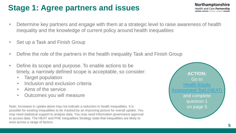# <span id="page-4-0"></span>**Stage 1: Agree partners and issues**

- Determine key partners and engage with them at a strategic level to raise awareness of health inequality and the knowledge of current policy around health inequalities
- Set up a Task and Finish Group
- Define the role of the partners in the health inequality Task and Finish Group
- Define its scope and purpose. To enable actions to be timely, a narrowly defined scope is acceptable, so consider:
	- Target population
	- Inclusion and exclusion criteria
	- Aims of the service
	- Outcomes you will measure

Note: Increases in uptake alone may not indicate a reduction in health inequalities. It is possible for existing inequalities to be masked by an improving picture for overall uptake. You may need statistical support to analyse data. You may need information governance approval to access data. The HEAT and PHE Inequalities Strategy state that inequalities are likely to exist across a range of factors.

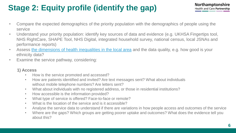# <span id="page-5-0"></span>**Stage 2: Equity profile (identify the gap)**

- Compare the expected demographics of the priority population with the demographics of people using the service
- Understand your priority population: identify key sources of data and evidence (e.g. UKHSA Fingertips tool, NHS RightCare, SHAPE Tool, NHS Digital, integrated household survey, national census, local JSNAs and performance reports)
- Assess [the dimensions of health inequalities in the local area](#page-1-0) and the data quality, e.g. how good is your ethnicity data?
- Examine the service pathway, considering:

### **1) Access**

- How is the service promoted and accessed?
- How are patients identified and invited? Are text messages sent? What about individuals without mobile telephone numbers? Are letters sent?
- What about individuals with no registered address, or those in residential institutions?
- How accessible is the information provided?
- What type of service is offered? Face-to-face or remote?
- What is the location of the service and is it accessible?
- Analyse the service data to understand if there are variations in how people access and outcomes of the service
- Where are the gaps? Which groups are getting poorer uptake and outcomes? What does the evidence tell you about this?

6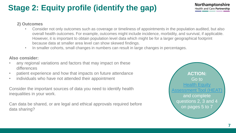# **Stage 2: Equity profile (identify the gap)**

#### **2) Outcomes**

- Consider not only outcomes such as coverage or timeliness of appointments in the population audited, but also overall health outcomes. For example, outcomes might include incidence, morbidity, and survival, if applicable. However, it is important to obtain population level data which might be for a larger geographical footprint because data at smaller area level can show skewed findings.
- In smaller cohorts, small changes in numbers can result in large changes in percentages.

#### **Also consider:**

- any regional variations and factors that may impact on these differences
- patient experience and how that impacts on future attendance
- individuals who have not attended their appointment

Consider the important sources of data you need to identify health inequalities in your work.

Can data be shared, or are legal and ethical approvals required before data sharing?



7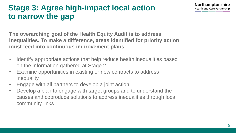#### **Northamptonshire Health and Care Partnership**

## <span id="page-7-0"></span>**Stage 3: Agree high-impact local action to narrow the gap**

**The overarching goal of the Health Equity Audit is to address inequalities. To make a difference, areas identified for priority action must feed into continuous improvement plans.** 

- Identify appropriate actions that help reduce health inequalities based on the information gathered at Stage 2
- Examine opportunities in existing or new contracts to address inequality
- Engage with all partners to develop a joint action
- Develop a plan to engage with target groups and to understand the causes and coproduce solutions to address inequalities through local community links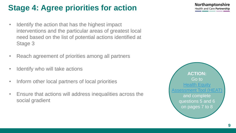# <span id="page-8-0"></span>**Stage 4: Agree priorities for action**

- Identify the action that has the highest impact interventions and the particular areas of greatest local need based on the list of potential actions identified at Stage 3
- Reach agreement of priorities among all partners
- Identify who will take actions
- Inform other local partners of local priorities
- Ensure that actions will address inequalities across the social gradient



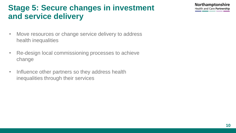### <span id="page-9-0"></span>**Stage 5: Secure changes in investment and service delivery**

- Move resources or change service delivery to address health inequalities
- Re-design local commissioning processes to achieve change
- Influence other partners so they address health inequalities through their services

Northamptonshire **Health and Care Partnership**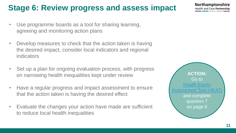# <span id="page-10-0"></span>**Stage 6: Review progress and assess impact**

- Use programme boards as a tool for sharing learning, agreeing and monitoring action plans
- Develop measures to check that the action taken is having the desired impact, consider local indicators and regional indicators
- Set up a plan for ongoing evaluation process, with progress on narrowing health inequalities kept under review
- Have a regular progress and impact assessment to ensure that the action taken is having the desired effect
- Evaluate the changes your action have made are sufficient to reduce local health inequalities



**Northamptonshire Health and Care Partnership**